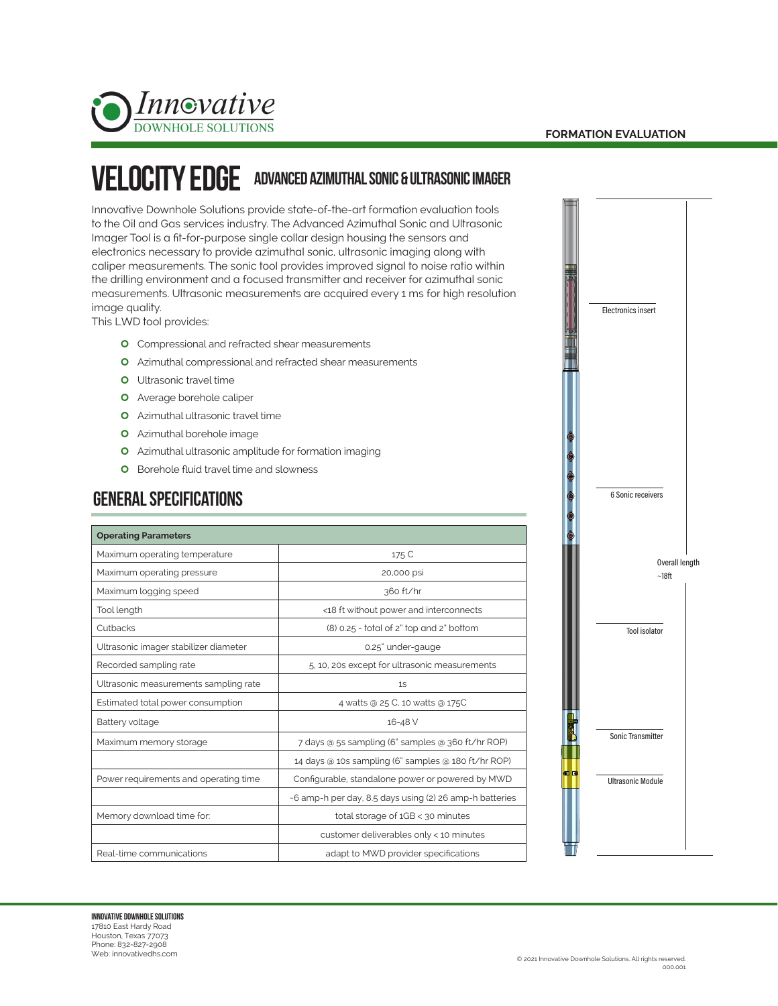



## VELOCITY EDGE ADVANCED AZIMUTHAL SONIC & ULTRASONIC IMAGER

Innovative Downhole Solutions provide state-of-the-art formation evaluation tools to the Oil and Gas services industry. The Advanced Azimuthal Sonic and Ultrasonic Imager Tool is a fit-for-purpose single collar design housing the sensors and electronics necessary to provide azimuthal sonic, ultrasonic imaging along with caliper measurements. The sonic tool provides improved signal to noise ratio within the drilling environment and a focused transmitter and receiver for azimuthal sonic measurements. Ultrasonic measurements are acquired every 1 ms for high resolution image quality.

This LWD tool provides:

- **O** Compressional and refracted shear measurements
- **O** Azimuthal compressional and refracted shear measurements
- **O** Ultrasonic travel time
- **O** Average borehole caliper
- **O** Azimuthal ultrasonic travel time
- **O** Azimuthal borehole image
- **O** Azimuthal ultrasonic amplitude for formation imaging
- **O** Borehole fluid travel time and slowness

## GENERAL SPECIFIcations

| <b>Operating Parameters</b>           |                                                         |
|---------------------------------------|---------------------------------------------------------|
| Maximum operating temperature         | 175 C                                                   |
| Maximum operating pressure            | 20,000 psi                                              |
| Maximum logging speed                 | 360 ft/hr                                               |
| Tool length                           | <18 ft without power and interconnects                  |
| Cutbacks                              | (8) 0.25 - total of 2" top and 2" bottom                |
| Ultrasonic imager stabilizer diameter | 0.25" under-gauge                                       |
| Recorded sampling rate                | 5, 10, 20s except for ultrasonic measurements           |
| Ultrasonic measurements sampling rate | 1S                                                      |
| Estimated total power consumption     | 4 watts @ 25 C, 10 watts @ 175C                         |
| Battery voltage                       | 16-48 V                                                 |
| Maximum memory storage                | 7 days @ 5s sampling (6" samples @ 360 ft/hr ROP)       |
|                                       | 14 days @ 10s sampling (6" samples @ 180 ft/hr ROP)     |
| Power requirements and operating time | Configurable, standalone power or powered by MWD        |
|                                       | ~6 amp-h per day, 8.5 days using (2) 26 amp-h batteries |
| Memory download time for:             | total storage of 1GB < 30 minutes                       |
|                                       | customer deliverables only < 10 minutes                 |
| Real-time communications              | adapt to MWD provider specifications                    |

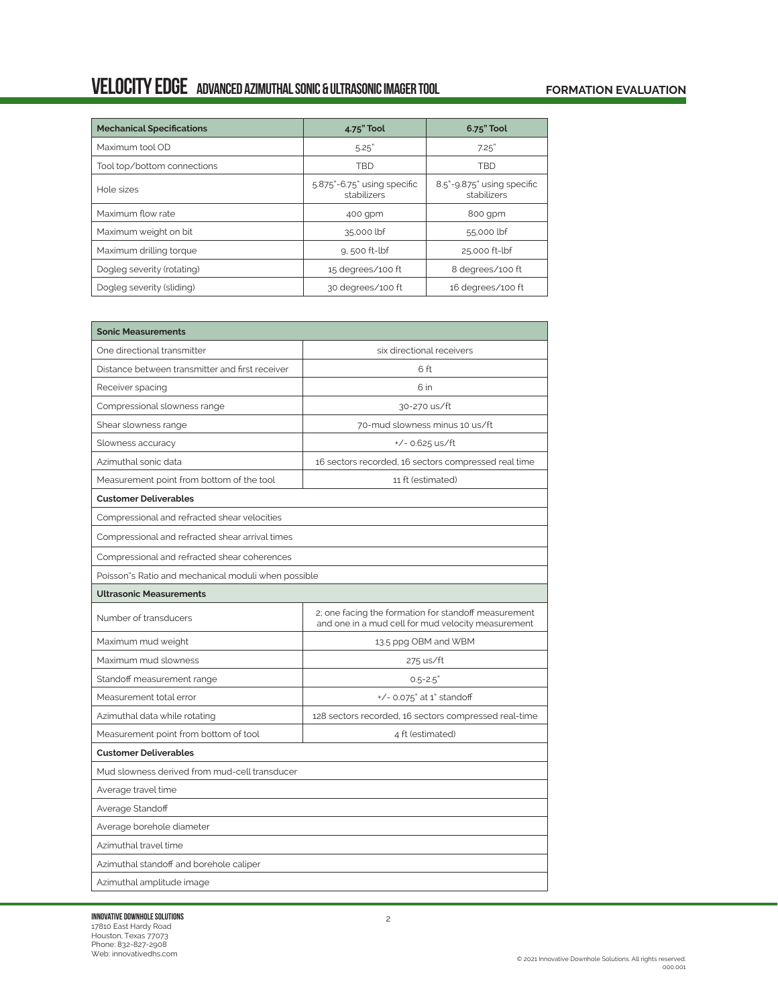## Velocity edge advanced azimuthal SONIC & ULTRASONIC IMAGER TOOL

## **FORMATION EVALUATION**

| <b>Mechanical Specifications</b> | 4.75" Tool                                 | 6.75" Tool                                |
|----------------------------------|--------------------------------------------|-------------------------------------------|
| Maximum tool OD                  | 5.25"                                      | 7.25"                                     |
| Tool top/bottom connections      | <b>TBD</b>                                 | <b>TBD</b>                                |
| Hole sizes                       | 5.875"-6.75" using specific<br>stabilizers | 8.5"-9.875" using specific<br>stabilizers |
| Maximum flow rate                | 400 gpm                                    | 800 qpm                                   |
| Maximum weight on bit            | 35,000 lbf                                 | 55,000 lbf                                |
| Maximum drilling torque          | 9,500 ft-lbf                               | 25,000 ft-lbf                             |
| Dogleg severity (rotating)       | 15 degrees/100 ft                          | 8 degrees/100 ft                          |
| Dogleg severity (sliding)        | 30 degrees/100 ft                          | 16 degrees/100 ft                         |

| <b>Sonic Measurements</b>                           |                                                                                                            |  |
|-----------------------------------------------------|------------------------------------------------------------------------------------------------------------|--|
| One directional transmitter                         | six directional receivers                                                                                  |  |
| Distance between transmitter and first receiver     | 6 ft                                                                                                       |  |
| Receiver spacing                                    | 6 in                                                                                                       |  |
| Compressional slowness range                        | 30-270 us/ft                                                                                               |  |
| Shear slowness range                                | 70-mud slowness minus 10 us/ft                                                                             |  |
| Slowness accuracy                                   | $+/- 0.625$ us/ft                                                                                          |  |
| Azimuthal sonic data                                | 16 sectors recorded, 16 sectors compressed real time                                                       |  |
| Measurement point from bottom of the tool           | 11 ft (estimated)                                                                                          |  |
| <b>Customer Deliverables</b>                        |                                                                                                            |  |
| Compressional and refracted shear velocities        |                                                                                                            |  |
| Compressional and refracted shear arrival times     |                                                                                                            |  |
| Compressional and refracted shear coherences        |                                                                                                            |  |
| Poisson"s Ratio and mechanical moduli when possible |                                                                                                            |  |
| <b>Ultrasonic Measurements</b>                      |                                                                                                            |  |
| Number of transducers                               | 2; one facing the formation for standoff measurement<br>and one in a mud cell for mud velocity measurement |  |
| Maximum mud weight                                  | 13.5 ppg OBM and WBM                                                                                       |  |
| Maximum mud slowness                                | 275 us/ft                                                                                                  |  |
| Standoff measurement range                          | $0.5 - 2.5"$                                                                                               |  |
| Measurement total error                             | +/- 0.075" at 1" standoff                                                                                  |  |
| Azimuthal data while rotating                       | 128 sectors recorded, 16 sectors compressed real-time                                                      |  |
| Measurement point from bottom of tool               | 4 ft (estimated)                                                                                           |  |
| <b>Customer Deliverables</b>                        |                                                                                                            |  |
| Mud slowness derived from mud-cell transducer       |                                                                                                            |  |
| Average travel time                                 |                                                                                                            |  |
| Average Standoff                                    |                                                                                                            |  |
| Average borehole diameter                           |                                                                                                            |  |
| Azimuthal travel time                               |                                                                                                            |  |
| Azimuthal standoff and borehole caliper             |                                                                                                            |  |
| Azimuthal amplitude image                           |                                                                                                            |  |